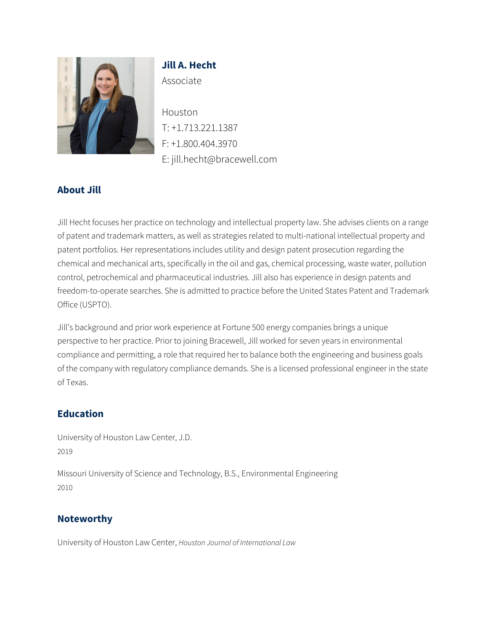

# **Jill A. Hecht** Associate

Houston T: +1.713.221.1387 F: +1.800.404.3970 E: jill.hecht@bracewell.com

## **About Jill**

Jill Hecht focuses her practice on technology and intellectual property law. She advises clients on a range of patent and trademark matters, as well as strategies related to multi-national intellectual property and patent portfolios. Her representations includes utility and design patent prosecution regarding the chemical and mechanical arts, specifically in the oil and gas, chemical processing, waste water, pollution control, petrochemical and pharmaceutical industries. Jill also has experience in design patents and freedom-to-operate searches. She is admitted to practice before the United States Patent and Trademark Office (USPTO).

Jill's background and prior work experience at Fortune 500 energy companies brings a unique perspective to her practice. Prior to joining Bracewell, Jill worked for seven years in environmental compliance and permitting, a role that required her to balance both the engineering and business goals of the company with regulatory compliance demands. She is a licensed professional engineer in the state of Texas.

### **Education**

University of Houston Law Center, J.D. 2019

Missouri University of Science and Technology, B.S., Environmental Engineering 2010

#### **Noteworthy**

University of Houston Law Center, *Houston Journal of International Law*